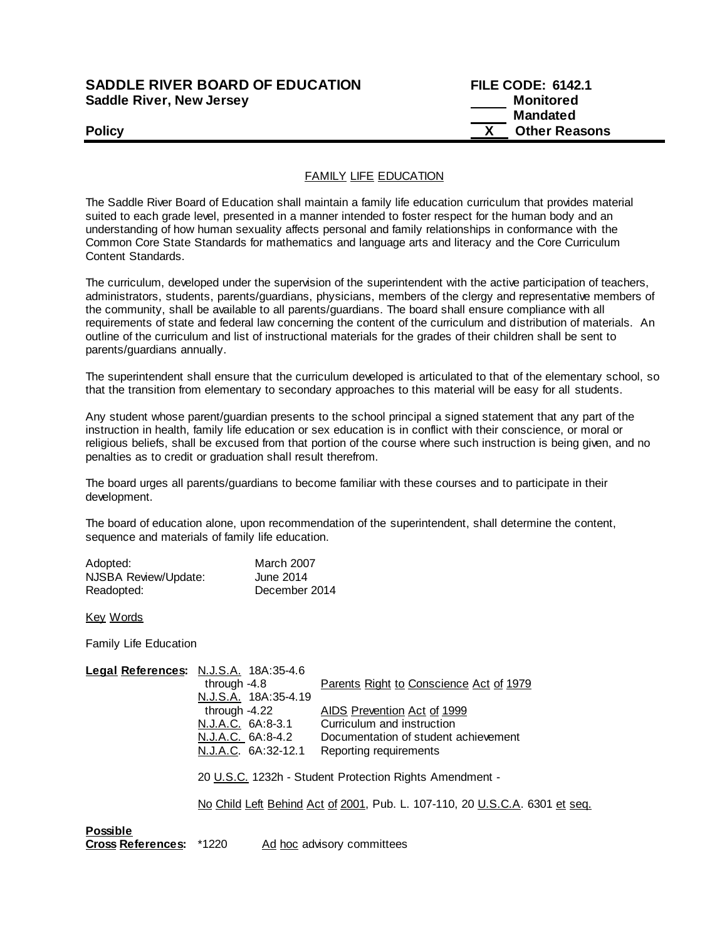## **SADDLE RIVER BOARD OF EDUCATION FILE CODE: 6142.1 Saddle River, New Jersey Monitored Example 2018 19 No. 2018 19:30 Monitored**

 **Mandated Policy COLLEGENS Policy COLLEGENS COLLEGENS COLLEGENS X Other Reasons** 

## FAMILY LIFE EDUCATION

The Saddle River Board of Education shall maintain a family life education curriculum that provides material suited to each grade level, presented in a manner intended to foster respect for the human body and an understanding of how human sexuality affects personal and family relationships in conformance with the Common Core State Standards for mathematics and language arts and literacy and the Core Curriculum Content Standards.

The curriculum, developed under the supervision of the superintendent with the active participation of teachers, administrators, students, parents/guardians, physicians, members of the clergy and representative members of the community, shall be available to all parents/guardians. The board shall ensure compliance with all requirements of state and federal law concerning the content of the curriculum and distribution of materials. An outline of the curriculum and list of instructional materials for the grades of their children shall be sent to parents/guardians annually.

The superintendent shall ensure that the curriculum developed is articulated to that of the elementary school, so that the transition from elementary to secondary approaches to this material will be easy for all students.

Any student whose parent/guardian presents to the school principal a signed statement that any part of the instruction in health, family life education or sex education is in conflict with their conscience, or moral or religious beliefs, shall be excused from that portion of the course where such instruction is being given, and no penalties as to credit or graduation shall result therefrom.

The board urges all parents/guardians to become familiar with these courses and to participate in their development.

The board of education alone, upon recommendation of the superintendent, shall determine the content, sequence and materials of family life education.

| Adopted:             | <b>March 2007</b> |
|----------------------|-------------------|
| NJSBA Review/Update: | June 2014         |
| Readopted:           | December 2014     |

Key Words

Family Life Education

|                 | Legal References: N.J.S.A. 18A:35-4.6                                       |                                                         |
|-----------------|-----------------------------------------------------------------------------|---------------------------------------------------------|
|                 | through $-4.8$                                                              | <u>Parents Right to Conscience Act of 1979</u>          |
|                 | N.J.S.A. 18A:35-4.19                                                        |                                                         |
|                 | through -4.22                                                               | AIDS Prevention Act of 1999                             |
|                 | N.J.A.C. 6A:8-3.1                                                           | Curriculum and instruction                              |
|                 | N.J.A.C. 6A:8-4.2                                                           | Documentation of student achievement                    |
|                 | N.J.A.C. 6A:32-12.1                                                         | Reporting requirements                                  |
|                 |                                                                             | 20 U.S.C. 1232h - Student Protection Rights Amendment - |
|                 | No Child Left Behind Act of 2001, Pub. L. 107-110, 20 U.S.C.A. 6301 et seq. |                                                         |
| <b>Possible</b> |                                                                             |                                                         |

**Cross References:** \*1220 Ad hoc advisory committees